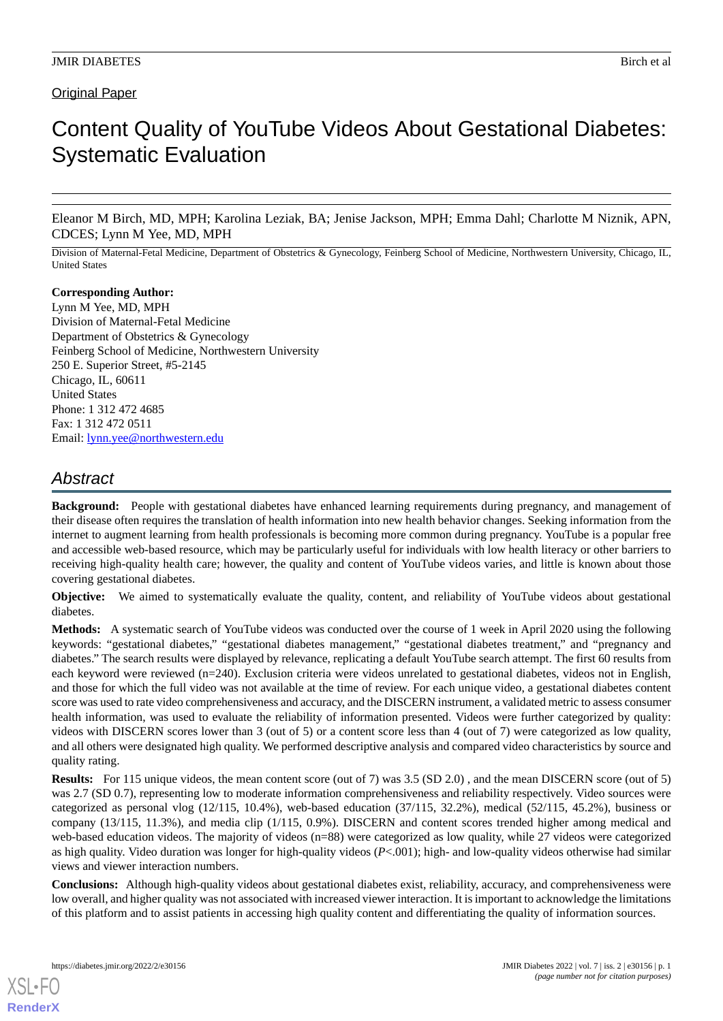# Original Paper

# Content Quality of YouTube Videos About Gestational Diabetes: Systematic Evaluation

Eleanor M Birch, MD, MPH; Karolina Leziak, BA; Jenise Jackson, MPH; Emma Dahl; Charlotte M Niznik, APN, CDCES; Lynn M Yee, MD, MPH

Division of Maternal-Fetal Medicine, Department of Obstetrics & Gynecology, Feinberg School of Medicine, Northwestern University, Chicago, IL, United States

**Corresponding Author:** Lynn M Yee, MD, MPH Division of Maternal-Fetal Medicine Department of Obstetrics & Gynecology Feinberg School of Medicine, Northwestern University 250 E. Superior Street, #5-2145 Chicago, IL, 60611 United States Phone: 1 312 472 4685 Fax: 1 312 472 0511 Email: [lynn.yee@northwestern.edu](mailto:lynn.yee@northwestern.edu)

# *Abstract*

**Background:** People with gestational diabetes have enhanced learning requirements during pregnancy, and management of their disease often requires the translation of health information into new health behavior changes. Seeking information from the internet to augment learning from health professionals is becoming more common during pregnancy. YouTube is a popular free and accessible web-based resource, which may be particularly useful for individuals with low health literacy or other barriers to receiving high-quality health care; however, the quality and content of YouTube videos varies, and little is known about those covering gestational diabetes.

**Objective:** We aimed to systematically evaluate the quality, content, and reliability of YouTube videos about gestational diabetes.

**Methods:** A systematic search of YouTube videos was conducted over the course of 1 week in April 2020 using the following keywords: "gestational diabetes," "gestational diabetes management," "gestational diabetes treatment," and "pregnancy and diabetes." The search results were displayed by relevance, replicating a default YouTube search attempt. The first 60 results from each keyword were reviewed (n=240). Exclusion criteria were videos unrelated to gestational diabetes, videos not in English, and those for which the full video was not available at the time of review. For each unique video, a gestational diabetes content score was used to rate video comprehensiveness and accuracy, and the DISCERN instrument, a validated metric to assess consumer health information, was used to evaluate the reliability of information presented. Videos were further categorized by quality: videos with DISCERN scores lower than 3 (out of 5) or a content score less than 4 (out of 7) were categorized as low quality, and all others were designated high quality. We performed descriptive analysis and compared video characteristics by source and quality rating.

**Results:** For 115 unique videos, the mean content score (out of 7) was 3.5 (SD 2.0), and the mean DISCERN score (out of 5) was 2.7 (SD 0.7), representing low to moderate information comprehensiveness and reliability respectively. Video sources were categorized as personal vlog  $(12/115, 10.4\%)$ , web-based education  $(37/115, 32.2\%)$ , medical  $(52/115, 45.2\%)$ , business or company (13/115, 11.3%), and media clip (1/115, 0.9%). DISCERN and content scores trended higher among medical and web-based education videos. The majority of videos (n=88) were categorized as low quality, while 27 videos were categorized as high quality. Video duration was longer for high-quality videos (*P*<.001); high- and low-quality videos otherwise had similar views and viewer interaction numbers.

**Conclusions:** Although high-quality videos about gestational diabetes exist, reliability, accuracy, and comprehensiveness were low overall, and higher quality was not associated with increased viewer interaction. It is important to acknowledge the limitations of this platform and to assist patients in accessing high quality content and differentiating the quality of information sources.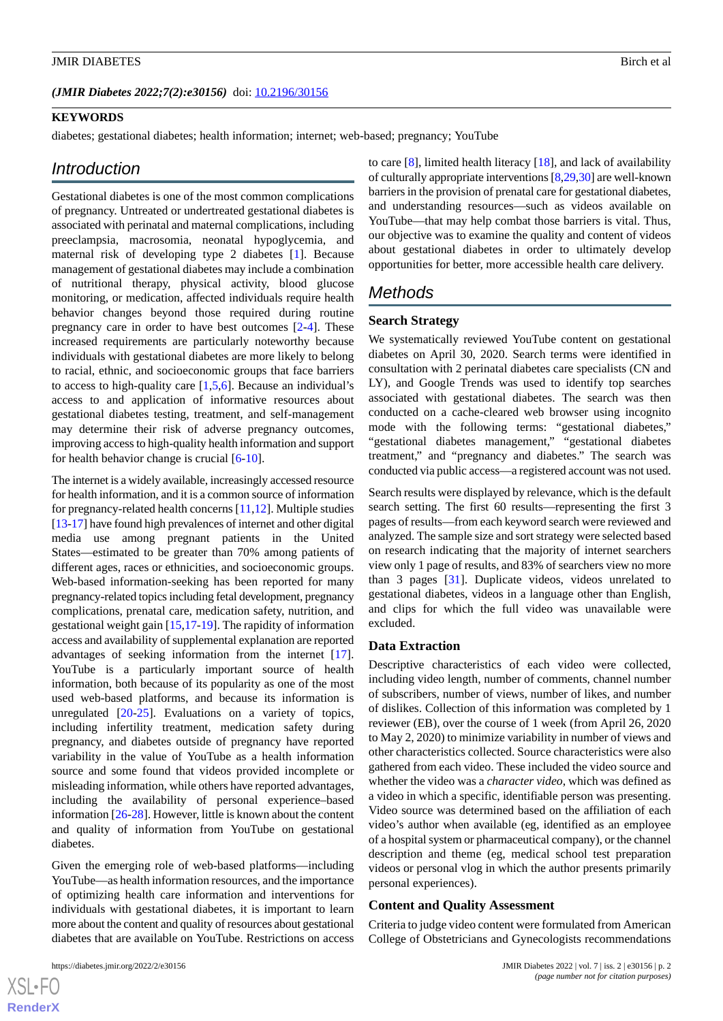*(JMIR Diabetes 2022;7(2):e30156)* doi:  $10.2196/30156$ 

#### **KEYWORDS**

diabetes; gestational diabetes; health information; internet; web-based; pregnancy; YouTube

# *Introduction*

Gestational diabetes is one of the most common complications of pregnancy. Untreated or undertreated gestational diabetes is associated with perinatal and maternal complications, including preeclampsia, macrosomia, neonatal hypoglycemia, and maternal risk of developing type 2 diabetes [[1\]](#page-6-0). Because management of gestational diabetes may include a combination of nutritional therapy, physical activity, blood glucose monitoring, or medication, affected individuals require health behavior changes beyond those required during routine pregnancy care in order to have best outcomes [[2-](#page-6-1)[4](#page-7-0)]. These increased requirements are particularly noteworthy because individuals with gestational diabetes are more likely to belong to racial, ethnic, and socioeconomic groups that face barriers to access to high-quality care  $[1,5,6]$  $[1,5,6]$  $[1,5,6]$  $[1,5,6]$  $[1,5,6]$ . Because an individual's access to and application of informative resources about gestational diabetes testing, treatment, and self-management may determine their risk of adverse pregnancy outcomes, improving access to high-quality health information and support for health behavior change is crucial  $[6-10]$  $[6-10]$  $[6-10]$  $[6-10]$ .

The internet is a widely available, increasingly accessed resource for health information, and it is a common source of information for pregnancy-related health concerns [\[11](#page-7-4),[12\]](#page-7-5). Multiple studies [[13-](#page-7-6)[17\]](#page-7-7) have found high prevalences of internet and other digital media use among pregnant patients in the United States—estimated to be greater than 70% among patients of different ages, races or ethnicities, and socioeconomic groups. Web-based information-seeking has been reported for many pregnancy-related topics including fetal development, pregnancy complications, prenatal care, medication safety, nutrition, and gestational weight gain [[15,](#page-7-8)[17](#page-7-7)-[19\]](#page-7-9). The rapidity of information access and availability of supplemental explanation are reported advantages of seeking information from the internet [[17\]](#page-7-7). YouTube is a particularly important source of health information, both because of its popularity as one of the most used web-based platforms, and because its information is unregulated [[20-](#page-7-10)[25\]](#page-7-11). Evaluations on a variety of topics, including infertility treatment, medication safety during pregnancy, and diabetes outside of pregnancy have reported variability in the value of YouTube as a health information source and some found that videos provided incomplete or misleading information, while others have reported advantages, including the availability of personal experience–based information [\[26](#page-7-12)[-28](#page-8-0)]. However, little is known about the content and quality of information from YouTube on gestational diabetes.

Given the emerging role of web-based platforms—including YouTube—as health information resources, and the importance of optimizing health care information and interventions for individuals with gestational diabetes, it is important to learn more about the content and quality of resources about gestational diabetes that are available on YouTube. Restrictions on access

 $XSI - F($ **[RenderX](http://www.renderx.com/)** to care [\[8](#page-7-13)], limited health literacy [\[18](#page-7-14)], and lack of availability of culturally appropriate interventions [\[8](#page-7-13)[,29](#page-8-1),[30\]](#page-8-2) are well-known barriers in the provision of prenatal care for gestational diabetes, and understanding resources—such as videos available on YouTube—that may help combat those barriers is vital. Thus, our objective was to examine the quality and content of videos about gestational diabetes in order to ultimately develop opportunities for better, more accessible health care delivery.

# *Methods*

#### **Search Strategy**

We systematically reviewed YouTube content on gestational diabetes on April 30, 2020. Search terms were identified in consultation with 2 perinatal diabetes care specialists (CN and LY), and Google Trends was used to identify top searches associated with gestational diabetes. The search was then conducted on a cache-cleared web browser using incognito mode with the following terms: "gestational diabetes," "gestational diabetes management," "gestational diabetes treatment," and "pregnancy and diabetes." The search was conducted via public access—a registered account was not used.

Search results were displayed by relevance, which is the default search setting. The first 60 results—representing the first 3 pages of results—from each keyword search were reviewed and analyzed. The sample size and sort strategy were selected based on research indicating that the majority of internet searchers view only 1 page of results, and 83% of searchers view no more than 3 pages [\[31](#page-8-3)]. Duplicate videos, videos unrelated to gestational diabetes, videos in a language other than English, and clips for which the full video was unavailable were excluded.

#### **Data Extraction**

Descriptive characteristics of each video were collected, including video length, number of comments, channel number of subscribers, number of views, number of likes, and number of dislikes. Collection of this information was completed by 1 reviewer (EB), over the course of 1 week (from April 26, 2020 to May 2, 2020) to minimize variability in number of views and other characteristics collected. Source characteristics were also gathered from each video. These included the video source and whether the video was a *character video*, which was defined as a video in which a specific, identifiable person was presenting. Video source was determined based on the affiliation of each video's author when available (eg, identified as an employee of a hospital system or pharmaceutical company), or the channel description and theme (eg, medical school test preparation videos or personal vlog in which the author presents primarily personal experiences).

#### **Content and Quality Assessment**

Criteria to judge video content were formulated from American College of Obstetricians and Gynecologists recommendations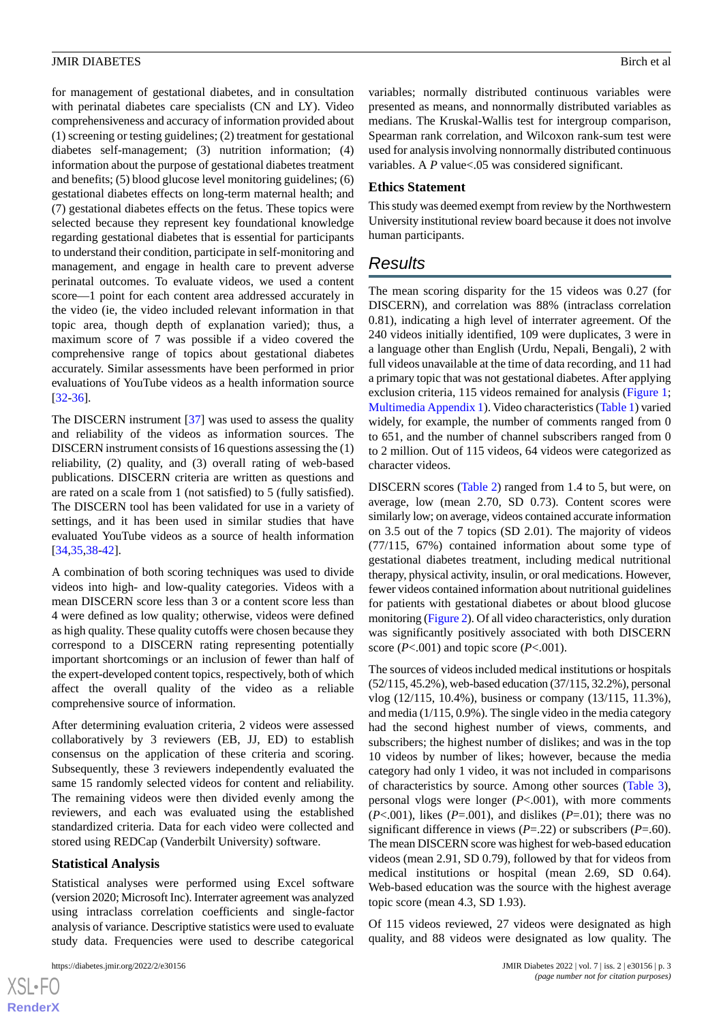for management of gestational diabetes, and in consultation with perinatal diabetes care specialists (CN and LY). Video comprehensiveness and accuracy of information provided about (1) screening or testing guidelines; (2) treatment for gestational diabetes self-management; (3) nutrition information; (4) information about the purpose of gestational diabetes treatment and benefits; (5) blood glucose level monitoring guidelines; (6) gestational diabetes effects on long-term maternal health; and (7) gestational diabetes effects on the fetus. These topics were selected because they represent key foundational knowledge regarding gestational diabetes that is essential for participants to understand their condition, participate in self-monitoring and management, and engage in health care to prevent adverse perinatal outcomes. To evaluate videos, we used a content score—1 point for each content area addressed accurately in the video (ie, the video included relevant information in that topic area, though depth of explanation varied); thus, a maximum score of 7 was possible if a video covered the comprehensive range of topics about gestational diabetes accurately. Similar assessments have been performed in prior evaluations of YouTube videos as a health information source [[32](#page-8-4)[-36](#page-8-5)].

The DISCERN instrument [\[37](#page-8-6)] was used to assess the quality and reliability of the videos as information sources. The DISCERN instrument consists of 16 questions assessing the (1) reliability, (2) quality, and (3) overall rating of web-based publications. DISCERN criteria are written as questions and are rated on a scale from 1 (not satisfied) to 5 (fully satisfied). The DISCERN tool has been validated for use in a variety of settings, and it has been used in similar studies that have evaluated YouTube videos as a source of health information [[34](#page-8-7)[,35](#page-8-8),[38](#page-8-9)[-42](#page-8-10)].

A combination of both scoring techniques was used to divide videos into high- and low-quality categories. Videos with a mean DISCERN score less than 3 or a content score less than 4 were defined as low quality; otherwise, videos were defined as high quality. These quality cutoffs were chosen because they correspond to a DISCERN rating representing potentially important shortcomings or an inclusion of fewer than half of the expert-developed content topics, respectively, both of which affect the overall quality of the video as a reliable comprehensive source of information.

After determining evaluation criteria, 2 videos were assessed collaboratively by 3 reviewers (EB, JJ, ED) to establish consensus on the application of these criteria and scoring. Subsequently, these 3 reviewers independently evaluated the same 15 randomly selected videos for content and reliability. The remaining videos were then divided evenly among the reviewers, and each was evaluated using the established standardized criteria. Data for each video were collected and stored using REDCap (Vanderbilt University) software.

# **Statistical Analysis**

Statistical analyses were performed using Excel software (version 2020; Microsoft Inc). Interrater agreement was analyzed using intraclass correlation coefficients and single-factor analysis of variance. Descriptive statistics were used to evaluate study data. Frequencies were used to describe categorical

[XSL](http://www.w3.org/Style/XSL)•FO **[RenderX](http://www.renderx.com/)** variables; normally distributed continuous variables were presented as means, and nonnormally distributed variables as medians. The Kruskal-Wallis test for intergroup comparison, Spearman rank correlation, and Wilcoxon rank-sum test were used for analysis involving nonnormally distributed continuous variables. A *P* value<.05 was considered significant.

# **Ethics Statement**

This study was deemed exempt from review by the Northwestern University institutional review board because it does not involve human participants.

# *Results*

The mean scoring disparity for the 15 videos was 0.27 (for DISCERN), and correlation was 88% (intraclass correlation 0.81), indicating a high level of interrater agreement. Of the 240 videos initially identified, 109 were duplicates, 3 were in a language other than English (Urdu, Nepali, Bengali), 2 with full videos unavailable at the time of data recording, and 11 had a primary topic that was not gestational diabetes. After applying exclusion criteria, 115 videos remained for analysis [\(Figure 1;](#page-3-0) [Multimedia Appendix 1](#page-6-2)). Video characteristics [\(Table 1\)](#page-3-1) varied widely, for example, the number of comments ranged from 0 to 651, and the number of channel subscribers ranged from 0 to 2 million. Out of 115 videos, 64 videos were categorized as character videos.

DISCERN scores ([Table 2\)](#page-4-0) ranged from 1.4 to 5, but were, on average, low (mean 2.70, SD 0.73). Content scores were similarly low; on average, videos contained accurate information on 3.5 out of the 7 topics (SD 2.01). The majority of videos (77/115, 67%) contained information about some type of gestational diabetes treatment, including medical nutritional therapy, physical activity, insulin, or oral medications. However, fewer videos contained information about nutritional guidelines for patients with gestational diabetes or about blood glucose monitoring [\(Figure 2\)](#page-4-1). Of all video characteristics, only duration was significantly positively associated with both DISCERN score (*P*<.001) and topic score (*P*<.001).

The sources of videos included medical institutions or hospitals (52/115, 45.2%), web-based education (37/115, 32.2%), personal vlog (12/115, 10.4%), business or company (13/115, 11.3%), and media (1/115, 0.9%). The single video in the media category had the second highest number of views, comments, and subscribers; the highest number of dislikes; and was in the top 10 videos by number of likes; however, because the media category had only 1 video, it was not included in comparisons of characteristics by source. Among other sources [\(Table 3\)](#page-5-0), personal vlogs were longer (*P*<.001), with more comments (*P*<.001), likes (*P*=.001), and dislikes (*P*=.01); there was no significant difference in views (*P*=.22) or subscribers (*P*=.60). The mean DISCERN score was highest for web-based education videos (mean 2.91, SD 0.79), followed by that for videos from medical institutions or hospital (mean 2.69, SD 0.64). Web-based education was the source with the highest average topic score (mean 4.3, SD 1.93).

Of 115 videos reviewed, 27 videos were designated as high quality, and 88 videos were designated as low quality. The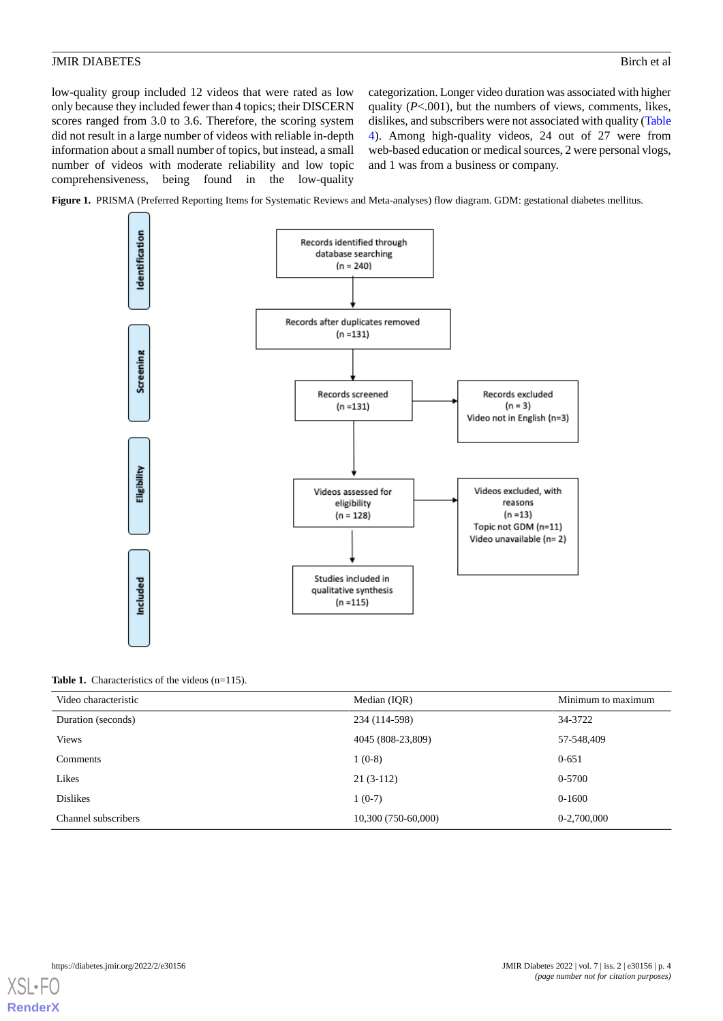low-quality group included 12 videos that were rated as low only because they included fewer than 4 topics; their DISCERN scores ranged from 3.0 to 3.6. Therefore, the scoring system did not result in a large number of videos with reliable in-depth information about a small number of topics, but instead, a small number of videos with moderate reliability and low topic comprehensiveness, being found in the low-quality

categorization. Longer video duration was associated with higher quality (*P*<.001), but the numbers of views, comments, likes, dislikes, and subscribers were not associated with quality [\(Table](#page-5-1) [4\)](#page-5-1). Among high-quality videos, 24 out of 27 were from web-based education or medical sources, 2 were personal vlogs, and 1 was from a business or company.

<span id="page-3-0"></span>**Figure 1.** PRISMA (Preferred Reporting Items for Systematic Reviews and Meta-analyses) flow diagram. GDM: gestational diabetes mellitus.



#### <span id="page-3-1"></span>Table 1. Characteristics of the videos (n=115).

| Video characteristic | Median (IQR)        | Minimum to maximum |
|----------------------|---------------------|--------------------|
| Duration (seconds)   | 234 (114-598)       | 34-3722            |
| <b>Views</b>         | 4045 (808-23,809)   | 57-548,409         |
| Comments             | $1(0-8)$            | $0 - 651$          |
| Likes                | $21(3-112)$         | 0-5700             |
| <b>Dislikes</b>      | $1(0-7)$            | 0-1600             |
| Channel subscribers  | 10,300 (750-60,000) | 0-2,700,000        |

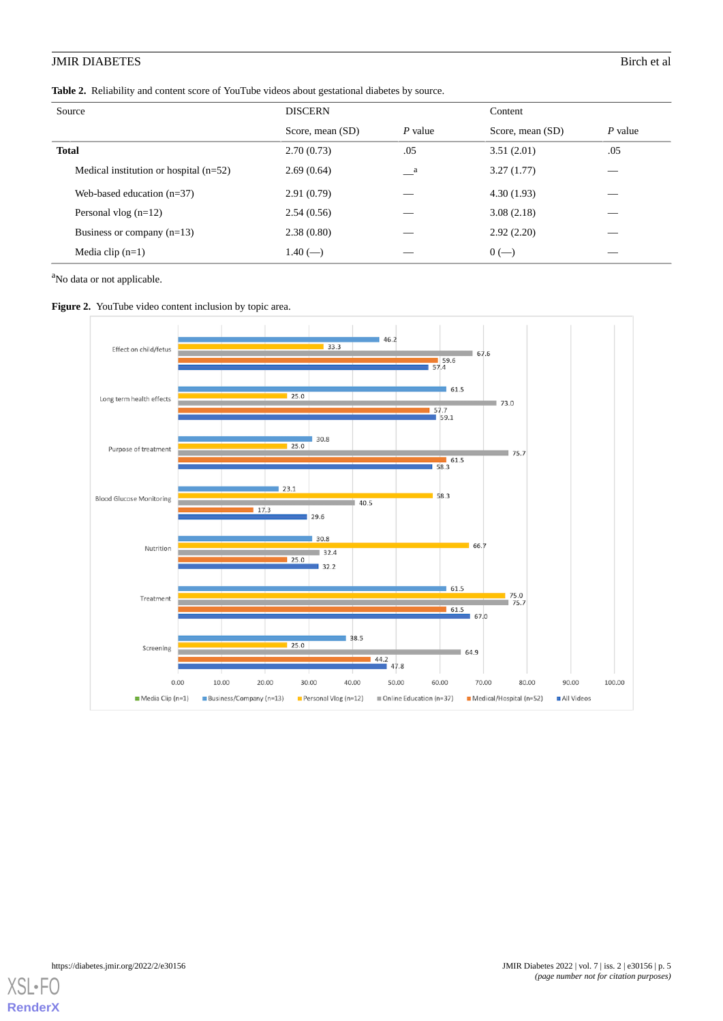#### <span id="page-4-0"></span>**Table 2.** Reliability and content score of YouTube videos about gestational diabetes by source.

| Source                                   | <b>DISCERN</b>   |                            | Content          |         |
|------------------------------------------|------------------|----------------------------|------------------|---------|
|                                          | Score, mean (SD) | $P$ value                  | Score, mean (SD) | P value |
| <b>Total</b>                             | 2.70(0.73)       | .05                        | 3.51(2.01)       | .05     |
| Medical institution or hospital $(n=52)$ | 2.69(0.64)       | $\overline{\phantom{a}}^a$ | 3.27(1.77)       |         |
| Web-based education $(n=37)$             | 2.91(0.79)       |                            | 4.30(1.93)       |         |
| Personal vlog $(n=12)$                   | 2.54(0.56)       |                            | 3.08(2.18)       |         |
| Business or company $(n=13)$             | 2.38(0.80)       |                            | 2.92(2.20)       |         |
| Media clip $(n=1)$                       | $1.40$ (--)      |                            | $0(-)$           | ___     |

<span id="page-4-1"></span><sup>a</sup>No data or not applicable.





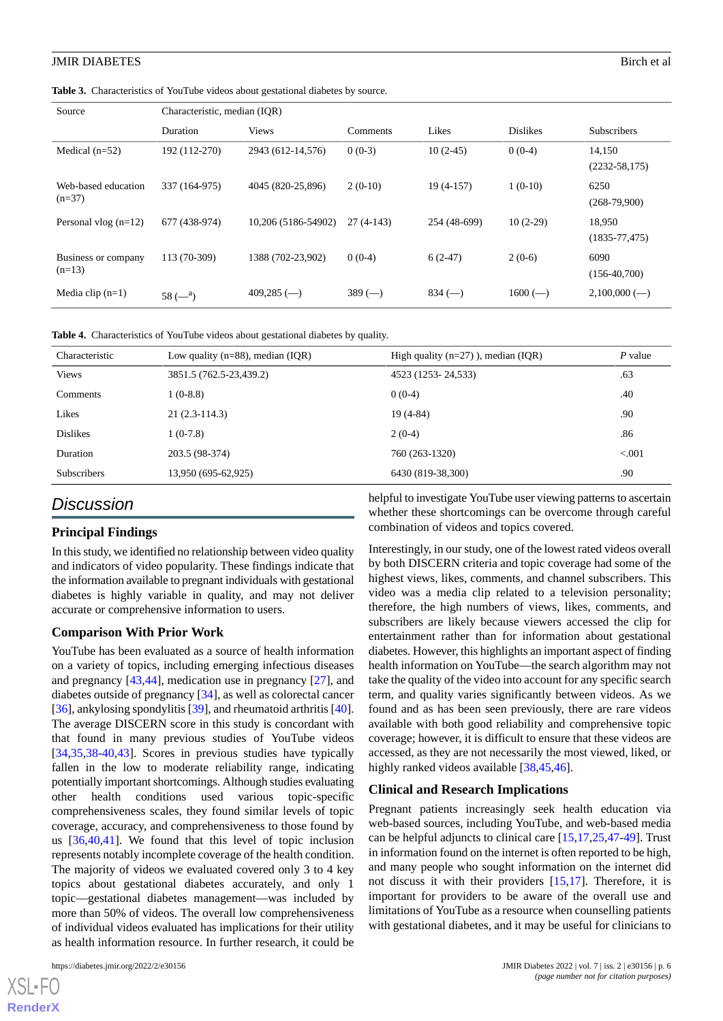<span id="page-5-0"></span>Table 3. Characteristics of YouTube videos about gestational diabetes by source.

| Source                          | Characteristic, median (IQR) |                     |             |              |                 |                              |
|---------------------------------|------------------------------|---------------------|-------------|--------------|-----------------|------------------------------|
|                                 | Duration                     | <b>Views</b>        | Comments    | Likes        | <b>Dislikes</b> | <b>Subscribers</b>           |
| Medical $(n=52)$                | 192 (112-270)                | 2943 (612-14,576)   | $0(0-3)$    | $10(2-45)$   | $0(0-4)$        | 14,150<br>$(2232 - 58, 175)$ |
| Web-based education<br>$(n=37)$ | 337 (164-975)                | 4045 (820-25,896)   | $2(0-10)$   | $19(4-157)$  | $1(0-10)$       | 6250<br>$(268-79,900)$       |
| Personal vlog $(n=12)$          | 677 (438-974)                | 10,206 (5186-54902) | $27(4-143)$ | 254 (48-699) | $10(2-29)$      | 18,950<br>$(1835 - 77, 475)$ |
| Business or company<br>$(n=13)$ | 113 (70-309)                 | 1388 (702-23,902)   | $0(0-4)$    | $6(2-47)$    | $2(0-6)$        | 6090<br>$(156-40,700)$       |
| Media clip $(n=1)$              | $58 (-a)$                    | $409,285$ (--)      | $389$ (-    | $834$ (-     | $1600 (-)$      | $2,100,000$ (--)             |

<span id="page-5-1"></span>**Table 4.** Characteristics of YouTube videos about gestational diabetes by quality.

| Characteristic     | Low quality ( $n=88$ ), median (IQR) | High quality $(n=27)$ ), median (IQR) | $P$ value |
|--------------------|--------------------------------------|---------------------------------------|-----------|
| <b>Views</b>       | 3851.5 (762.5-23,439.2)              | 4523 (1253-24,533)                    | .63       |
| <b>Comments</b>    | $1(0-8.8)$                           | $0(0-4)$                              | .40       |
| Likes              | $21(2.3-114.3)$                      | $19(4-84)$                            | .90       |
| <b>Dislikes</b>    | $1(0-7.8)$                           | $2(0-4)$                              | .86       |
| Duration           | 203.5 (98-374)                       | 760 (263-1320)                        | < 0.001   |
| <b>Subscribers</b> | 13,950 (695-62,925)                  | 6430 (819-38,300)                     | .90       |

# *Discussion*

# **Principal Findings**

In this study, we identified no relationship between video quality and indicators of video popularity. These findings indicate that the information available to pregnant individuals with gestational diabetes is highly variable in quality, and may not deliver accurate or comprehensive information to users.

# **Comparison With Prior Work**

YouTube has been evaluated as a source of health information on a variety of topics, including emerging infectious diseases and pregnancy [[43](#page-8-11)[,44](#page-8-12)], medication use in pregnancy [[27\]](#page-8-13), and diabetes outside of pregnancy [[34\]](#page-8-7), as well as colorectal cancer [[36\]](#page-8-5), ankylosing spondylitis [\[39](#page-8-14)], and rheumatoid arthritis [[40\]](#page-8-15). The average DISCERN score in this study is concordant with that found in many previous studies of YouTube videos [[34](#page-8-7)[,35](#page-8-8),[38](#page-8-9)[-40](#page-8-15),[43\]](#page-8-11). Scores in previous studies have typically fallen in the low to moderate reliability range, indicating potentially important shortcomings. Although studies evaluating other health conditions used various topic-specific comprehensiveness scales, they found similar levels of topic coverage, accuracy, and comprehensiveness to those found by us [[36](#page-8-5)[,40](#page-8-15),[41\]](#page-8-16). We found that this level of topic inclusion represents notably incomplete coverage of the health condition. The majority of videos we evaluated covered only 3 to 4 key topics about gestational diabetes accurately, and only 1 topic—gestational diabetes management—was included by more than 50% of videos. The overall low comprehensiveness of individual videos evaluated has implications for their utility as health information resource. In further research, it could be

[XSL](http://www.w3.org/Style/XSL)•FO **[RenderX](http://www.renderx.com/)**

helpful to investigate YouTube user viewing patterns to ascertain whether these shortcomings can be overcome through careful combination of videos and topics covered.

Interestingly, in our study, one of the lowest rated videos overall by both DISCERN criteria and topic coverage had some of the highest views, likes, comments, and channel subscribers. This video was a media clip related to a television personality; therefore, the high numbers of views, likes, comments, and subscribers are likely because viewers accessed the clip for entertainment rather than for information about gestational diabetes. However, this highlights an important aspect of finding health information on YouTube—the search algorithm may not take the quality of the video into account for any specific search term, and quality varies significantly between videos. As we found and as has been seen previously, there are rare videos available with both good reliability and comprehensive topic coverage; however, it is difficult to ensure that these videos are accessed, as they are not necessarily the most viewed, liked, or highly ranked videos available [\[38](#page-8-9),[45](#page-8-17)[,46](#page-8-18)].

# **Clinical and Research Implications**

Pregnant patients increasingly seek health education via web-based sources, including YouTube, and web-based media can be helpful adjuncts to clinical care [[15](#page-7-8)[,17](#page-7-7),[25](#page-7-11)[,47](#page-8-19)-[49\]](#page-8-20). Trust in information found on the internet is often reported to be high, and many people who sought information on the internet did not discuss it with their providers [\[15](#page-7-8),[17\]](#page-7-7). Therefore, it is important for providers to be aware of the overall use and limitations of YouTube as a resource when counselling patients with gestational diabetes, and it may be useful for clinicians to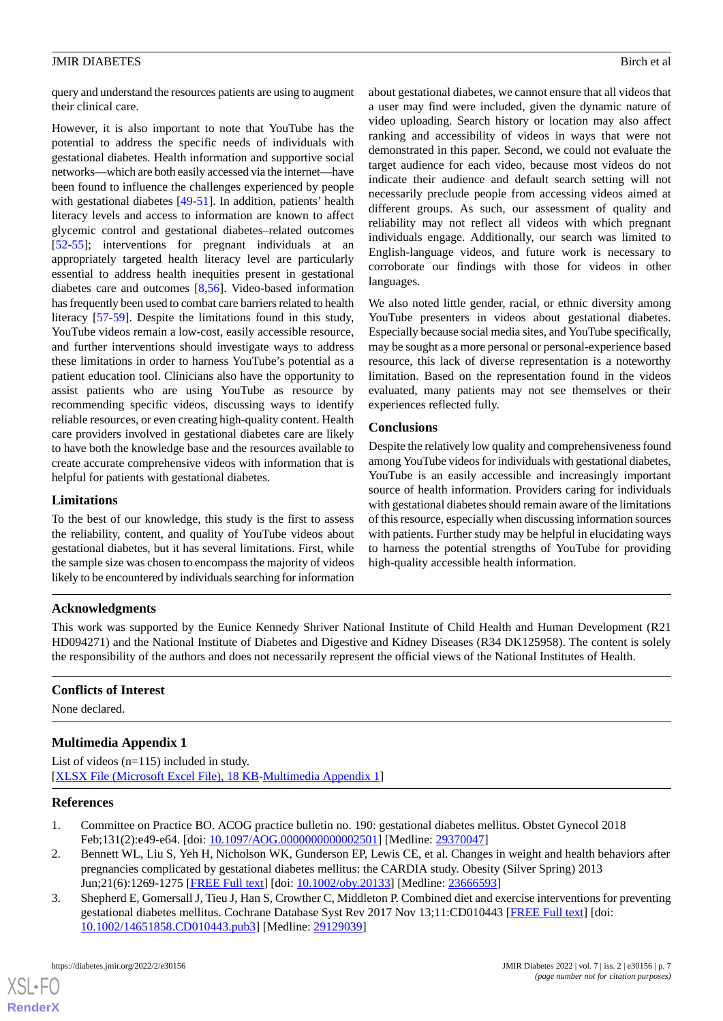query and understand the resources patients are using to augment their clinical care.

However, it is also important to note that YouTube has the potential to address the specific needs of individuals with gestational diabetes. Health information and supportive social networks—which are both easily accessed via the internet—have been found to influence the challenges experienced by people with gestational diabetes [[49-](#page-8-20)[51](#page-9-0)]. In addition, patients' health literacy levels and access to information are known to affect glycemic control and gestational diabetes–related outcomes [[52](#page-9-1)[-55](#page-9-2)]; interventions for pregnant individuals at an appropriately targeted health literacy level are particularly essential to address health inequities present in gestational diabetes care and outcomes [\[8](#page-7-13),[56\]](#page-9-3). Video-based information has frequently been used to combat care barriers related to health literacy [[57-](#page-9-4)[59](#page-9-5)]. Despite the limitations found in this study, YouTube videos remain a low-cost, easily accessible resource, and further interventions should investigate ways to address these limitations in order to harness YouTube's potential as a patient education tool. Clinicians also have the opportunity to assist patients who are using YouTube as resource by recommending specific videos, discussing ways to identify reliable resources, or even creating high-quality content. Health care providers involved in gestational diabetes care are likely to have both the knowledge base and the resources available to create accurate comprehensive videos with information that is helpful for patients with gestational diabetes.

# **Limitations**

To the best of our knowledge, this study is the first to assess the reliability, content, and quality of YouTube videos about gestational diabetes, but it has several limitations. First, while the sample size was chosen to encompass the majority of videos likely to be encountered by individuals searching for information

about gestational diabetes, we cannot ensure that all videos that a user may find were included, given the dynamic nature of video uploading. Search history or location may also affect ranking and accessibility of videos in ways that were not demonstrated in this paper. Second, we could not evaluate the target audience for each video, because most videos do not indicate their audience and default search setting will not necessarily preclude people from accessing videos aimed at different groups. As such, our assessment of quality and reliability may not reflect all videos with which pregnant individuals engage. Additionally, our search was limited to English-language videos, and future work is necessary to corroborate our findings with those for videos in other languages.

We also noted little gender, racial, or ethnic diversity among YouTube presenters in videos about gestational diabetes. Especially because social media sites, and YouTube specifically, may be sought as a more personal or personal-experience based resource, this lack of diverse representation is a noteworthy limitation. Based on the representation found in the videos evaluated, many patients may not see themselves or their experiences reflected fully.

# **Conclusions**

Despite the relatively low quality and comprehensiveness found among YouTube videos for individuals with gestational diabetes, YouTube is an easily accessible and increasingly important source of health information. Providers caring for individuals with gestational diabetes should remain aware of the limitations of this resource, especially when discussing information sources with patients. Further study may be helpful in elucidating ways to harness the potential strengths of YouTube for providing high-quality accessible health information.

# **Acknowledgments**

This work was supported by the Eunice Kennedy Shriver National Institute of Child Health and Human Development (R21 HD094271) and the National Institute of Diabetes and Digestive and Kidney Diseases (R34 DK125958). The content is solely the responsibility of the authors and does not necessarily represent the official views of the National Institutes of Health.

# <span id="page-6-2"></span>**Conflicts of Interest**

None declared.

# <span id="page-6-0"></span>**Multimedia Appendix 1**

<span id="page-6-1"></span>List of videos (n=115) included in study. [[XLSX File \(Microsoft Excel File\), 18 KB](https://jmir.org/api/download?alt_name=diabetes_v7i2e30156_app1.xlsx&filename=fa32983714c58ad43c49b9be2d42be00.xlsx)-[Multimedia Appendix 1\]](https://jmir.org/api/download?alt_name=diabetes_v7i2e30156_app1.xlsx&filename=fa32983714c58ad43c49b9be2d42be00.xlsx)

# **References**

- 1. Committee on Practice BO. ACOG practice bulletin no. 190: gestational diabetes mellitus. Obstet Gynecol 2018 Feb;131(2):e49-e64. [doi: [10.1097/AOG.0000000000002501](http://dx.doi.org/10.1097/AOG.0000000000002501)] [Medline: [29370047](http://www.ncbi.nlm.nih.gov/entrez/query.fcgi?cmd=Retrieve&db=PubMed&list_uids=29370047&dopt=Abstract)]
- 2. Bennett WL, Liu S, Yeh H, Nicholson WK, Gunderson EP, Lewis CE, et al. Changes in weight and health behaviors after pregnancies complicated by gestational diabetes mellitus: the CARDIA study. Obesity (Silver Spring) 2013 Jun;21(6):1269-1275 [[FREE Full text](https://doi.org/10.1002/oby.20133)] [doi: [10.1002/oby.20133\]](http://dx.doi.org/10.1002/oby.20133) [Medline: [23666593](http://www.ncbi.nlm.nih.gov/entrez/query.fcgi?cmd=Retrieve&db=PubMed&list_uids=23666593&dopt=Abstract)]
- 3. Shepherd E, Gomersall J, Tieu J, Han S, Crowther C, Middleton P. Combined diet and exercise interventions for preventing gestational diabetes mellitus. Cochrane Database Syst Rev 2017 Nov 13;11:CD010443 [\[FREE Full text\]](http://europepmc.org/abstract/MED/29129039) [doi: [10.1002/14651858.CD010443.pub3\]](http://dx.doi.org/10.1002/14651858.CD010443.pub3) [Medline: [29129039](http://www.ncbi.nlm.nih.gov/entrez/query.fcgi?cmd=Retrieve&db=PubMed&list_uids=29129039&dopt=Abstract)]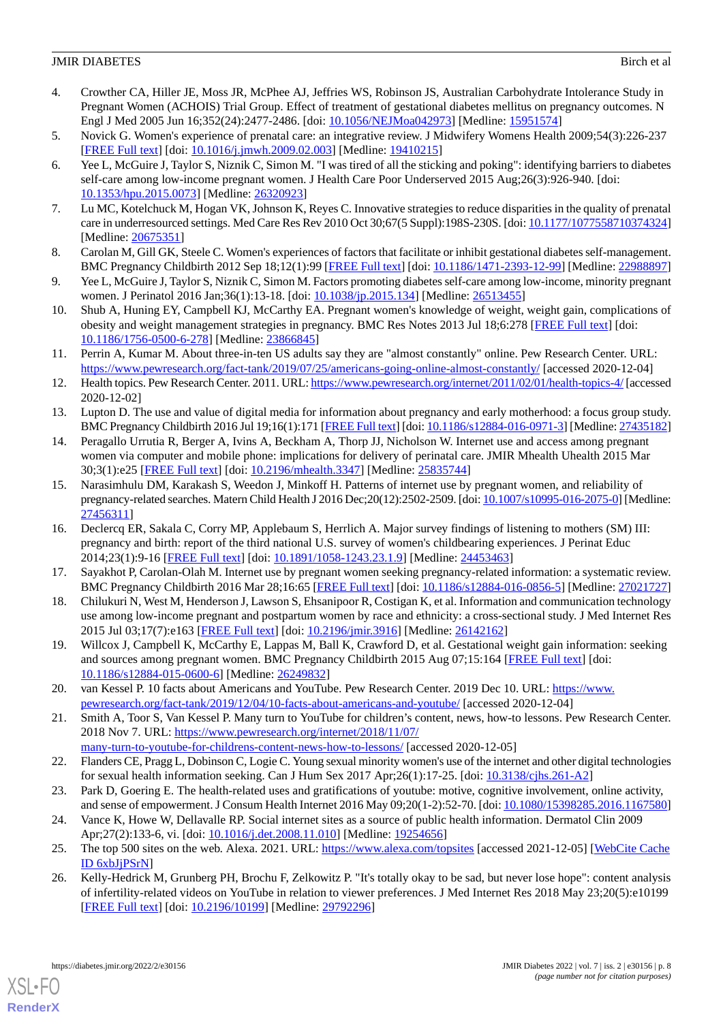- <span id="page-7-0"></span>4. Crowther CA, Hiller JE, Moss JR, McPhee AJ, Jeffries WS, Robinson JS, Australian Carbohydrate Intolerance Study in Pregnant Women (ACHOIS) Trial Group. Effect of treatment of gestational diabetes mellitus on pregnancy outcomes. N Engl J Med 2005 Jun 16;352(24):2477-2486. [doi: [10.1056/NEJMoa042973\]](http://dx.doi.org/10.1056/NEJMoa042973) [Medline: [15951574\]](http://www.ncbi.nlm.nih.gov/entrez/query.fcgi?cmd=Retrieve&db=PubMed&list_uids=15951574&dopt=Abstract)
- <span id="page-7-2"></span><span id="page-7-1"></span>5. Novick G. Women's experience of prenatal care: an integrative review. J Midwifery Womens Health 2009;54(3):226-237 [[FREE Full text](http://europepmc.org/abstract/MED/19410215)] [doi: [10.1016/j.jmwh.2009.02.003](http://dx.doi.org/10.1016/j.jmwh.2009.02.003)] [Medline: [19410215](http://www.ncbi.nlm.nih.gov/entrez/query.fcgi?cmd=Retrieve&db=PubMed&list_uids=19410215&dopt=Abstract)]
- 6. Yee L, McGuire J, Taylor S, Niznik C, Simon M. "I was tired of all the sticking and poking": identifying barriers to diabetes self-care among low-income pregnant women. J Health Care Poor Underserved 2015 Aug;26(3):926-940. [doi: [10.1353/hpu.2015.0073\]](http://dx.doi.org/10.1353/hpu.2015.0073) [Medline: [26320923\]](http://www.ncbi.nlm.nih.gov/entrez/query.fcgi?cmd=Retrieve&db=PubMed&list_uids=26320923&dopt=Abstract)
- <span id="page-7-13"></span>7. Lu MC, Kotelchuck M, Hogan VK, Johnson K, Reyes C. Innovative strategies to reduce disparities in the quality of prenatal care in underresourced settings. Med Care Res Rev 2010 Oct 30;67(5 Suppl):198S-230S. [doi: [10.1177/1077558710374324\]](http://dx.doi.org/10.1177/1077558710374324) [Medline: [20675351](http://www.ncbi.nlm.nih.gov/entrez/query.fcgi?cmd=Retrieve&db=PubMed&list_uids=20675351&dopt=Abstract)]
- 8. Carolan M, Gill GK, Steele C. Women's experiences of factors that facilitate or inhibit gestational diabetes self-management. BMC Pregnancy Childbirth 2012 Sep 18;12(1):99 [\[FREE Full text](https://bmcpregnancychildbirth.biomedcentral.com/articles/10.1186/1471-2393-12-99)] [doi: [10.1186/1471-2393-12-99](http://dx.doi.org/10.1186/1471-2393-12-99)] [Medline: [22988897](http://www.ncbi.nlm.nih.gov/entrez/query.fcgi?cmd=Retrieve&db=PubMed&list_uids=22988897&dopt=Abstract)]
- <span id="page-7-3"></span>9. Yee L, McGuire J, Taylor S, Niznik C, Simon M. Factors promoting diabetes self-care among low-income, minority pregnant women. J Perinatol 2016 Jan;36(1):13-18. [doi: [10.1038/jp.2015.134\]](http://dx.doi.org/10.1038/jp.2015.134) [Medline: [26513455\]](http://www.ncbi.nlm.nih.gov/entrez/query.fcgi?cmd=Retrieve&db=PubMed&list_uids=26513455&dopt=Abstract)
- <span id="page-7-4"></span>10. Shub A, Huning EY, Campbell KJ, McCarthy EA. Pregnant women's knowledge of weight, weight gain, complications of obesity and weight management strategies in pregnancy. BMC Res Notes 2013 Jul 18;6:278 [\[FREE Full text\]](https://bmcresnotes.biomedcentral.com/articles/10.1186/1756-0500-6-278) [doi: [10.1186/1756-0500-6-278\]](http://dx.doi.org/10.1186/1756-0500-6-278) [Medline: [23866845\]](http://www.ncbi.nlm.nih.gov/entrez/query.fcgi?cmd=Retrieve&db=PubMed&list_uids=23866845&dopt=Abstract)
- <span id="page-7-5"></span>11. Perrin A, Kumar M. About three-in-ten US adults say they are "almost constantly" online. Pew Research Center. URL: <https://www.pewresearch.org/fact-tank/2019/07/25/americans-going-online-almost-constantly/> [accessed 2020-12-04]
- <span id="page-7-6"></span>12. Health topics. Pew Research Center. 2011. URL:<https://www.pewresearch.org/internet/2011/02/01/health-topics-4/> [accessed 2020-12-02]
- 13. Lupton D. The use and value of digital media for information about pregnancy and early motherhood: a focus group study. BMC Pregnancy Childbirth 2016 Jul 19;16(1):171 [[FREE Full text](https://bmcpregnancychildbirth.biomedcentral.com/articles/10.1186/s12884-016-0971-3)] [doi: [10.1186/s12884-016-0971-3](http://dx.doi.org/10.1186/s12884-016-0971-3)] [Medline: [27435182\]](http://www.ncbi.nlm.nih.gov/entrez/query.fcgi?cmd=Retrieve&db=PubMed&list_uids=27435182&dopt=Abstract)
- <span id="page-7-8"></span>14. Peragallo Urrutia R, Berger A, Ivins A, Beckham A, Thorp JJ, Nicholson W. Internet use and access among pregnant women via computer and mobile phone: implications for delivery of perinatal care. JMIR Mhealth Uhealth 2015 Mar 30;3(1):e25 [\[FREE Full text](https://mhealth.jmir.org/2015/1/e25/)] [doi: [10.2196/mhealth.3347\]](http://dx.doi.org/10.2196/mhealth.3347) [Medline: [25835744](http://www.ncbi.nlm.nih.gov/entrez/query.fcgi?cmd=Retrieve&db=PubMed&list_uids=25835744&dopt=Abstract)]
- 15. Narasimhulu DM, Karakash S, Weedon J, Minkoff H. Patterns of internet use by pregnant women, and reliability of pregnancy-related searches. Matern Child Health J 2016 Dec;20(12):2502-2509. [doi: [10.1007/s10995-016-2075-0](http://dx.doi.org/10.1007/s10995-016-2075-0)] [Medline: [27456311](http://www.ncbi.nlm.nih.gov/entrez/query.fcgi?cmd=Retrieve&db=PubMed&list_uids=27456311&dopt=Abstract)]
- <span id="page-7-14"></span><span id="page-7-7"></span>16. Declercq ER, Sakala C, Corry MP, Applebaum S, Herrlich A. Major survey findings of listening to mothers (SM) III: pregnancy and birth: report of the third national U.S. survey of women's childbearing experiences. J Perinat Educ 2014;23(1):9-16 [[FREE Full text](http://europepmc.org/abstract/MED/24453463)] [doi: [10.1891/1058-1243.23.1.9\]](http://dx.doi.org/10.1891/1058-1243.23.1.9) [Medline: [24453463](http://www.ncbi.nlm.nih.gov/entrez/query.fcgi?cmd=Retrieve&db=PubMed&list_uids=24453463&dopt=Abstract)]
- <span id="page-7-9"></span>17. Sayakhot P, Carolan-Olah M. Internet use by pregnant women seeking pregnancy-related information: a systematic review. BMC Pregnancy Childbirth 2016 Mar 28;16:65 [\[FREE Full text](https://bmcpregnancychildbirth.biomedcentral.com/articles/10.1186/s12884-016-0856-5)] [doi: [10.1186/s12884-016-0856-5](http://dx.doi.org/10.1186/s12884-016-0856-5)] [Medline: [27021727](http://www.ncbi.nlm.nih.gov/entrez/query.fcgi?cmd=Retrieve&db=PubMed&list_uids=27021727&dopt=Abstract)]
- <span id="page-7-10"></span>18. Chilukuri N, West M, Henderson J, Lawson S, Ehsanipoor R, Costigan K, et al. Information and communication technology use among low-income pregnant and postpartum women by race and ethnicity: a cross-sectional study. J Med Internet Res 2015 Jul 03;17(7):e163 [[FREE Full text](https://www.jmir.org/2015/7/e163/)] [doi: [10.2196/jmir.3916](http://dx.doi.org/10.2196/jmir.3916)] [Medline: [26142162\]](http://www.ncbi.nlm.nih.gov/entrez/query.fcgi?cmd=Retrieve&db=PubMed&list_uids=26142162&dopt=Abstract)
- 19. Willcox J, Campbell K, McCarthy E, Lappas M, Ball K, Crawford D, et al. Gestational weight gain information: seeking and sources among pregnant women. BMC Pregnancy Childbirth 2015 Aug 07;15:164 [[FREE Full text](https://bmcpregnancychildbirth.biomedcentral.com/articles/10.1186/s12884-015-0600-6)] [doi: [10.1186/s12884-015-0600-6\]](http://dx.doi.org/10.1186/s12884-015-0600-6) [Medline: [26249832](http://www.ncbi.nlm.nih.gov/entrez/query.fcgi?cmd=Retrieve&db=PubMed&list_uids=26249832&dopt=Abstract)]
- 20. van Kessel P. 10 facts about Americans and YouTube. Pew Research Center. 2019 Dec 10. URL: [https://www.](https://www.pewresearch.org/fact-tank/2019/12/04/10-facts-about-americans-and-youtube/) [pewresearch.org/fact-tank/2019/12/04/10-facts-about-americans-and-youtube/](https://www.pewresearch.org/fact-tank/2019/12/04/10-facts-about-americans-and-youtube/) [accessed 2020-12-04]
- 21. Smith A, Toor S, Van Kessel P. Many turn to YouTube for children's content, news, how-to lessons. Pew Research Center. 2018 Nov 7. URL: [https://www.pewresearch.org/internet/2018/11/07/](https://www.pewresearch.org/internet/2018/11/07/many-turn-to-youtube-for-childrens-content-news-how-to-lessons/) [many-turn-to-youtube-for-childrens-content-news-how-to-lessons/](https://www.pewresearch.org/internet/2018/11/07/many-turn-to-youtube-for-childrens-content-news-how-to-lessons/) [accessed 2020-12-05]
- <span id="page-7-11"></span>22. Flanders CE, Pragg L, Dobinson C, Logie C. Young sexual minority women's use of the internet and other digital technologies for sexual health information seeking. Can J Hum Sex 2017 Apr;26(1):17-25. [doi: [10.3138/cjhs.261-A2](http://dx.doi.org/10.3138/cjhs.261-A2)]
- <span id="page-7-12"></span>23. Park D, Goering E. The health-related uses and gratifications of youtube: motive, cognitive involvement, online activity, and sense of empowerment. J Consum Health Internet 2016 May 09;20(1-2):52-70. [doi: [10.1080/15398285.2016.1167580](http://dx.doi.org/10.1080/15398285.2016.1167580)]
- 24. Vance K, Howe W, Dellavalle RP. Social internet sites as a source of public health information. Dermatol Clin 2009 Apr;27(2):133-6, vi. [doi: [10.1016/j.det.2008.11.010](http://dx.doi.org/10.1016/j.det.2008.11.010)] [Medline: [19254656\]](http://www.ncbi.nlm.nih.gov/entrez/query.fcgi?cmd=Retrieve&db=PubMed&list_uids=19254656&dopt=Abstract)
- 25. The top 500 sites on the web. Alexa. 2021. URL:<https://www.alexa.com/topsites> [accessed 2021-12-05] [[WebCite Cache](http://www.webcitation.org/

                 6xbJjPSrN) [ID 6xbJjPSrN\]](http://www.webcitation.org/

                                6xbJjPSrN)
- 26. Kelly-Hedrick M, Grunberg PH, Brochu F, Zelkowitz P. "It's totally okay to be sad, but never lose hope": content analysis of infertility-related videos on YouTube in relation to viewer preferences. J Med Internet Res 2018 May 23;20(5):e10199 [[FREE Full text](https://www.jmir.org/2018/5/e10199/)] [doi: [10.2196/10199\]](http://dx.doi.org/10.2196/10199) [Medline: [29792296\]](http://www.ncbi.nlm.nih.gov/entrez/query.fcgi?cmd=Retrieve&db=PubMed&list_uids=29792296&dopt=Abstract)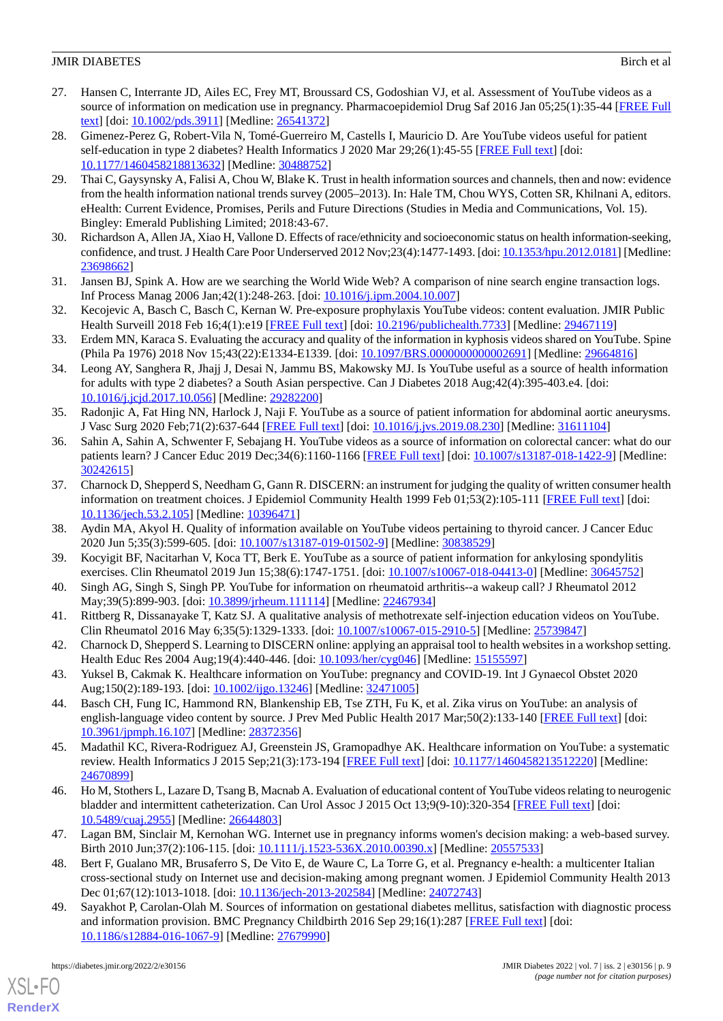- <span id="page-8-13"></span>27. Hansen C, Interrante JD, Ailes EC, Frey MT, Broussard CS, Godoshian VJ, et al. Assessment of YouTube videos as a source of information on medication use in pregnancy. Pharmacoepidemiol Drug Saf 2016 Jan 05;25(1):35-44 [[FREE Full](http://europepmc.org/abstract/MED/26541372) [text](http://europepmc.org/abstract/MED/26541372)] [doi: [10.1002/pds.3911](http://dx.doi.org/10.1002/pds.3911)] [Medline: [26541372](http://www.ncbi.nlm.nih.gov/entrez/query.fcgi?cmd=Retrieve&db=PubMed&list_uids=26541372&dopt=Abstract)]
- <span id="page-8-0"></span>28. Gimenez-Perez G, Robert-Vila N, Tomé-Guerreiro M, Castells I, Mauricio D. Are YouTube videos useful for patient self-education in type 2 diabetes? Health Informatics J 2020 Mar 29;26(1):45-55 [\[FREE Full text\]](https://journals.sagepub.com/doi/10.1177/1460458218813632?url_ver=Z39.88-2003&rfr_id=ori:rid:crossref.org&rfr_dat=cr_pub%3dpubmed) [doi: [10.1177/1460458218813632\]](http://dx.doi.org/10.1177/1460458218813632) [Medline: [30488752\]](http://www.ncbi.nlm.nih.gov/entrez/query.fcgi?cmd=Retrieve&db=PubMed&list_uids=30488752&dopt=Abstract)
- <span id="page-8-1"></span>29. Thai C, Gaysynsky A, Falisi A, Chou W, Blake K. Trust in health information sources and channels, then and now: evidence from the health information national trends survey (2005–2013). In: Hale TM, Chou WYS, Cotten SR, Khilnani A, editors. eHealth: Current Evidence, Promises, Perils and Future Directions (Studies in Media and Communications, Vol. 15). Bingley: Emerald Publishing Limited; 2018:43-67.
- <span id="page-8-3"></span><span id="page-8-2"></span>30. Richardson A, Allen JA, Xiao H, Vallone D. Effects of race/ethnicity and socioeconomic status on health information-seeking, confidence, and trust. J Health Care Poor Underserved 2012 Nov;23(4):1477-1493. [doi: [10.1353/hpu.2012.0181](http://dx.doi.org/10.1353/hpu.2012.0181)] [Medline: [23698662](http://www.ncbi.nlm.nih.gov/entrez/query.fcgi?cmd=Retrieve&db=PubMed&list_uids=23698662&dopt=Abstract)]
- <span id="page-8-4"></span>31. Jansen BJ, Spink A. How are we searching the World Wide Web? A comparison of nine search engine transaction logs. Inf Process Manag 2006 Jan;42(1):248-263. [doi: [10.1016/j.ipm.2004.10.007](http://dx.doi.org/10.1016/j.ipm.2004.10.007)]
- 32. Kecojevic A, Basch C, Basch C, Kernan W. Pre-exposure prophylaxis YouTube videos: content evaluation. JMIR Public Health Surveill 2018 Feb 16;4(1):e19 [\[FREE Full text\]](https://publichealth.jmir.org/2018/1/e19/) [doi: [10.2196/publichealth.7733](http://dx.doi.org/10.2196/publichealth.7733)] [Medline: [29467119\]](http://www.ncbi.nlm.nih.gov/entrez/query.fcgi?cmd=Retrieve&db=PubMed&list_uids=29467119&dopt=Abstract)
- <span id="page-8-7"></span>33. Erdem MN, Karaca S. Evaluating the accuracy and quality of the information in kyphosis videos shared on YouTube. Spine (Phila Pa 1976) 2018 Nov 15;43(22):E1334-E1339. [doi: [10.1097/BRS.0000000000002691](http://dx.doi.org/10.1097/BRS.0000000000002691)] [Medline: [29664816\]](http://www.ncbi.nlm.nih.gov/entrez/query.fcgi?cmd=Retrieve&db=PubMed&list_uids=29664816&dopt=Abstract)
- <span id="page-8-8"></span>34. Leong AY, Sanghera R, Jhajj J, Desai N, Jammu BS, Makowsky MJ. Is YouTube useful as a source of health information for adults with type 2 diabetes? a South Asian perspective. Can J Diabetes 2018 Aug;42(4):395-403.e4. [doi: [10.1016/j.jcjd.2017.10.056\]](http://dx.doi.org/10.1016/j.jcjd.2017.10.056) [Medline: [29282200](http://www.ncbi.nlm.nih.gov/entrez/query.fcgi?cmd=Retrieve&db=PubMed&list_uids=29282200&dopt=Abstract)]
- <span id="page-8-5"></span>35. Radonjic A, Fat Hing NN, Harlock J, Naji F. YouTube as a source of patient information for abdominal aortic aneurysms. J Vasc Surg 2020 Feb;71(2):637-644 [\[FREE Full text\]](https://linkinghub.elsevier.com/retrieve/pii/S0741-5214(19)32171-8) [doi: [10.1016/j.jvs.2019.08.230\]](http://dx.doi.org/10.1016/j.jvs.2019.08.230) [Medline: [31611104\]](http://www.ncbi.nlm.nih.gov/entrez/query.fcgi?cmd=Retrieve&db=PubMed&list_uids=31611104&dopt=Abstract)
- <span id="page-8-6"></span>36. Sahin A, Sahin A, Schwenter F, Sebajang H. YouTube videos as a source of information on colorectal cancer: what do our patients learn? J Cancer Educ 2019 Dec;34(6):1160-1166 [\[FREE Full text\]](http://europepmc.org/abstract/MED/30242615) [doi: [10.1007/s13187-018-1422-9](http://dx.doi.org/10.1007/s13187-018-1422-9)] [Medline: [30242615](http://www.ncbi.nlm.nih.gov/entrez/query.fcgi?cmd=Retrieve&db=PubMed&list_uids=30242615&dopt=Abstract)]
- <span id="page-8-14"></span><span id="page-8-9"></span>37. Charnock D, Shepperd S, Needham G, Gann R. DISCERN: an instrument for judging the quality of written consumer health information on treatment choices. J Epidemiol Community Health 1999 Feb 01;53(2):105-111 [\[FREE Full text\]](https://jech.bmj.com/lookup/pmidlookup?view=long&pmid=10396471) [doi: [10.1136/jech.53.2.105\]](http://dx.doi.org/10.1136/jech.53.2.105) [Medline: [10396471\]](http://www.ncbi.nlm.nih.gov/entrez/query.fcgi?cmd=Retrieve&db=PubMed&list_uids=10396471&dopt=Abstract)
- <span id="page-8-15"></span>38. Aydin MA, Akyol H. Quality of information available on YouTube videos pertaining to thyroid cancer. J Cancer Educ 2020 Jun 5;35(3):599-605. [doi: [10.1007/s13187-019-01502-9](http://dx.doi.org/10.1007/s13187-019-01502-9)] [Medline: [30838529](http://www.ncbi.nlm.nih.gov/entrez/query.fcgi?cmd=Retrieve&db=PubMed&list_uids=30838529&dopt=Abstract)]
- <span id="page-8-16"></span>39. Kocyigit BF, Nacitarhan V, Koca TT, Berk E. YouTube as a source of patient information for ankylosing spondylitis exercises. Clin Rheumatol 2019 Jun 15;38(6):1747-1751. [doi: [10.1007/s10067-018-04413-0\]](http://dx.doi.org/10.1007/s10067-018-04413-0) [Medline: [30645752\]](http://www.ncbi.nlm.nih.gov/entrez/query.fcgi?cmd=Retrieve&db=PubMed&list_uids=30645752&dopt=Abstract)
- <span id="page-8-10"></span>40. Singh AG, Singh S, Singh PP. YouTube for information on rheumatoid arthritis--a wakeup call? J Rheumatol 2012 May;39(5):899-903. [doi: [10.3899/jrheum.111114\]](http://dx.doi.org/10.3899/jrheum.111114) [Medline: [22467934\]](http://www.ncbi.nlm.nih.gov/entrez/query.fcgi?cmd=Retrieve&db=PubMed&list_uids=22467934&dopt=Abstract)
- <span id="page-8-11"></span>41. Rittberg R, Dissanayake T, Katz SJ. A qualitative analysis of methotrexate self-injection education videos on YouTube. Clin Rheumatol 2016 May 6;35(5):1329-1333. [doi: [10.1007/s10067-015-2910-5](http://dx.doi.org/10.1007/s10067-015-2910-5)] [Medline: [25739847\]](http://www.ncbi.nlm.nih.gov/entrez/query.fcgi?cmd=Retrieve&db=PubMed&list_uids=25739847&dopt=Abstract)
- <span id="page-8-12"></span>42. Charnock D, Shepperd S. Learning to DISCERN online: applying an appraisal tool to health websites in a workshop setting. Health Educ Res 2004 Aug;19(4):440-446. [doi: [10.1093/her/cyg046](http://dx.doi.org/10.1093/her/cyg046)] [Medline: [15155597\]](http://www.ncbi.nlm.nih.gov/entrez/query.fcgi?cmd=Retrieve&db=PubMed&list_uids=15155597&dopt=Abstract)
- <span id="page-8-17"></span>43. Yuksel B, Cakmak K. Healthcare information on YouTube: pregnancy and COVID-19. Int J Gynaecol Obstet 2020 Aug;150(2):189-193. [doi: [10.1002/ijgo.13246](http://dx.doi.org/10.1002/ijgo.13246)] [Medline: [32471005\]](http://www.ncbi.nlm.nih.gov/entrez/query.fcgi?cmd=Retrieve&db=PubMed&list_uids=32471005&dopt=Abstract)
- <span id="page-8-18"></span>44. Basch CH, Fung IC, Hammond RN, Blankenship EB, Tse ZTH, Fu K, et al. Zika virus on YouTube: an analysis of english-language video content by source. J Prev Med Public Health 2017 Mar;50(2):133-140 [\[FREE Full text\]](https://dx.doi.org/10.3961/jpmph.16.107) [doi: [10.3961/jpmph.16.107](http://dx.doi.org/10.3961/jpmph.16.107)] [Medline: [28372356](http://www.ncbi.nlm.nih.gov/entrez/query.fcgi?cmd=Retrieve&db=PubMed&list_uids=28372356&dopt=Abstract)]
- <span id="page-8-19"></span>45. Madathil KC, Rivera-Rodriguez AJ, Greenstein JS, Gramopadhye AK. Healthcare information on YouTube: a systematic review. Health Informatics J 2015 Sep;21(3):173-194 [[FREE Full text](https://journals.sagepub.com/doi/10.1177/1460458213512220?url_ver=Z39.88-2003&rfr_id=ori:rid:crossref.org&rfr_dat=cr_pub%3dpubmed)] [doi: [10.1177/1460458213512220](http://dx.doi.org/10.1177/1460458213512220)] [Medline: [24670899](http://www.ncbi.nlm.nih.gov/entrez/query.fcgi?cmd=Retrieve&db=PubMed&list_uids=24670899&dopt=Abstract)]
- 46. Ho M, Stothers L, Lazare D, Tsang B, Macnab A. Evaluation of educational content of YouTube videos relating to neurogenic bladder and intermittent catheterization. Can Urol Assoc J 2015 Oct 13;9(9-10):320-354 [[FREE Full text](http://europepmc.org/abstract/MED/26644803)] [doi: [10.5489/cuaj.2955\]](http://dx.doi.org/10.5489/cuaj.2955) [Medline: [26644803\]](http://www.ncbi.nlm.nih.gov/entrez/query.fcgi?cmd=Retrieve&db=PubMed&list_uids=26644803&dopt=Abstract)
- <span id="page-8-20"></span>47. Lagan BM, Sinclair M, Kernohan WG. Internet use in pregnancy informs women's decision making: a web-based survey. Birth 2010 Jun;37(2):106-115. [doi: [10.1111/j.1523-536X.2010.00390.x](http://dx.doi.org/10.1111/j.1523-536X.2010.00390.x)] [Medline: [20557533](http://www.ncbi.nlm.nih.gov/entrez/query.fcgi?cmd=Retrieve&db=PubMed&list_uids=20557533&dopt=Abstract)]
- 48. Bert F, Gualano MR, Brusaferro S, De Vito E, de Waure C, La Torre G, et al. Pregnancy e-health: a multicenter Italian cross-sectional study on Internet use and decision-making among pregnant women. J Epidemiol Community Health 2013 Dec 01;67(12):1013-1018. [doi: [10.1136/jech-2013-202584\]](http://dx.doi.org/10.1136/jech-2013-202584) [Medline: [24072743](http://www.ncbi.nlm.nih.gov/entrez/query.fcgi?cmd=Retrieve&db=PubMed&list_uids=24072743&dopt=Abstract)]
- 49. Sayakhot P, Carolan-Olah M. Sources of information on gestational diabetes mellitus, satisfaction with diagnostic process and information provision. BMC Pregnancy Childbirth 2016 Sep 29;16(1):287 [[FREE Full text](https://bmcpregnancychildbirth.biomedcentral.com/articles/10.1186/s12884-016-1067-9)] [doi: [10.1186/s12884-016-1067-9\]](http://dx.doi.org/10.1186/s12884-016-1067-9) [Medline: [27679990](http://www.ncbi.nlm.nih.gov/entrez/query.fcgi?cmd=Retrieve&db=PubMed&list_uids=27679990&dopt=Abstract)]